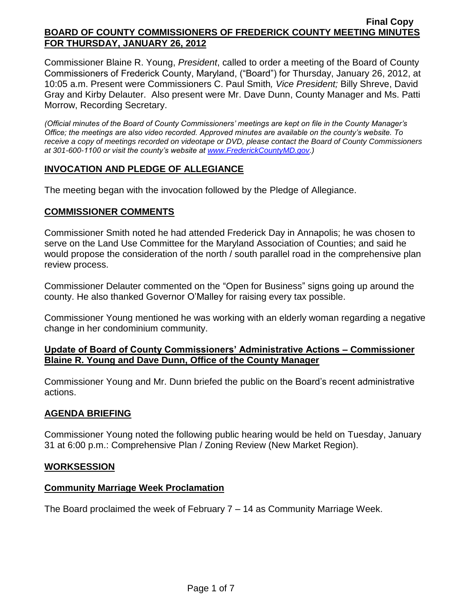Commissioner Blaine R. Young, *President*, called to order a meeting of the Board of County Commissioners of Frederick County, Maryland, ("Board") for Thursday, January 26, 2012, at 10:05 a.m. Present were Commissioners C. Paul Smith*, Vice President;* Billy Shreve, David Gray and Kirby Delauter. Also present were Mr. Dave Dunn, County Manager and Ms. Patti Morrow, Recording Secretary.

*(Official minutes of the Board of County Commissioners' meetings are kept on file in the County Manager's Office; the meetings are also video recorded. Approved minutes are available on the county's website. To receive a copy of meetings recorded on videotape or DVD, please contact the Board of County Commissioners at 301-600-1100 or visit the county's website at [www.FrederickCountyMD.gov.](http://www.frederickcountymd.gov/))*

## **INVOCATION AND PLEDGE OF ALLEGIANCE**

The meeting began with the invocation followed by the Pledge of Allegiance.

## **COMMISSIONER COMMENTS**

Commissioner Smith noted he had attended Frederick Day in Annapolis; he was chosen to serve on the Land Use Committee for the Maryland Association of Counties; and said he would propose the consideration of the north / south parallel road in the comprehensive plan review process.

Commissioner Delauter commented on the "Open for Business" signs going up around the county. He also thanked Governor O'Malley for raising every tax possible.

Commissioner Young mentioned he was working with an elderly woman regarding a negative change in her condominium community.

## **Update of Board of County Commissioners' Administrative Actions – Commissioner Blaine R. Young and Dave Dunn, Office of the County Manager**

Commissioner Young and Mr. Dunn briefed the public on the Board's recent administrative actions.

## **AGENDA BRIEFING**

Commissioner Young noted the following public hearing would be held on Tuesday, January 31 at 6:00 p.m.: Comprehensive Plan / Zoning Review (New Market Region).

## **WORKSESSION**

## **Community Marriage Week Proclamation**

The Board proclaimed the week of February 7 – 14 as Community Marriage Week.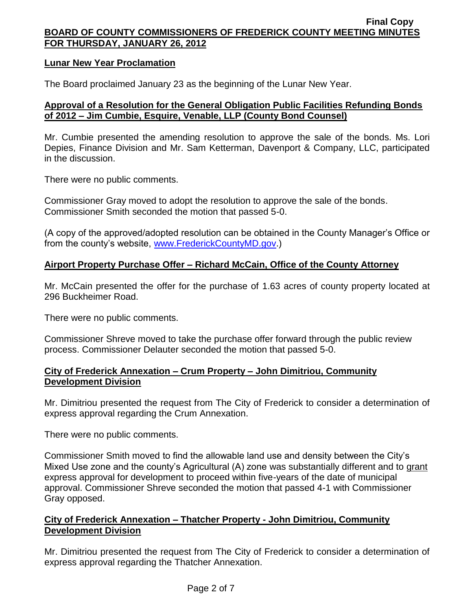### **Lunar New Year Proclamation**

The Board proclaimed January 23 as the beginning of the Lunar New Year.

## **Approval of a Resolution for the General Obligation Public Facilities Refunding Bonds of 2012 – Jim Cumbie, Esquire, Venable, LLP (County Bond Counsel)**

Mr. Cumbie presented the amending resolution to approve the sale of the bonds. Ms. Lori Depies, Finance Division and Mr. Sam Ketterman, Davenport & Company, LLC, participated in the discussion.

There were no public comments.

Commissioner Gray moved to adopt the resolution to approve the sale of the bonds. Commissioner Smith seconded the motion that passed 5-0.

(A copy of the approved/adopted resolution can be obtained in the County Manager's Office or from the county's website, [www.FrederickCountyMD.gov.](http://www.frederickcountymd.gov/))

## **Airport Property Purchase Offer – Richard McCain, Office of the County Attorney**

Mr. McCain presented the offer for the purchase of 1.63 acres of county property located at 296 Buckheimer Road.

There were no public comments.

Commissioner Shreve moved to take the purchase offer forward through the public review process. Commissioner Delauter seconded the motion that passed 5-0.

### **City of Frederick Annexation – Crum Property – John Dimitriou, Community Development Division**

Mr. Dimitriou presented the request from The City of Frederick to consider a determination of express approval regarding the Crum Annexation.

There were no public comments.

Commissioner Smith moved to find the allowable land use and density between the City's Mixed Use zone and the county's Agricultural (A) zone was substantially different and to grant express approval for development to proceed within five-years of the date of municipal approval. Commissioner Shreve seconded the motion that passed 4-1 with Commissioner Gray opposed.

## **City of Frederick Annexation – Thatcher Property - John Dimitriou, Community Development Division**

Mr. Dimitriou presented the request from The City of Frederick to consider a determination of express approval regarding the Thatcher Annexation.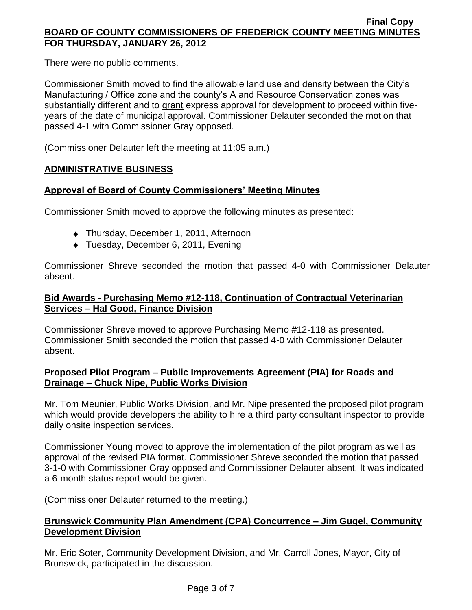There were no public comments.

Commissioner Smith moved to find the allowable land use and density between the City's Manufacturing / Office zone and the county's A and Resource Conservation zones was substantially different and to grant express approval for development to proceed within fiveyears of the date of municipal approval. Commissioner Delauter seconded the motion that passed 4-1 with Commissioner Gray opposed.

(Commissioner Delauter left the meeting at 11:05 a.m.)

## **ADMINISTRATIVE BUSINESS**

# **Approval of Board of County Commissioners' Meeting Minutes**

Commissioner Smith moved to approve the following minutes as presented:

- ◆ Thursday, December 1, 2011, Afternoon
- ◆ Tuesday, December 6, 2011, Evening

Commissioner Shreve seconded the motion that passed 4-0 with Commissioner Delauter absent.

## **Bid Awards - Purchasing Memo #12-118, Continuation of Contractual Veterinarian Services – Hal Good, Finance Division**

Commissioner Shreve moved to approve Purchasing Memo #12-118 as presented. Commissioner Smith seconded the motion that passed 4-0 with Commissioner Delauter absent.

## **Proposed Pilot Program – Public Improvements Agreement (PIA) for Roads and Drainage – Chuck Nipe, Public Works Division**

Mr. Tom Meunier, Public Works Division, and Mr. Nipe presented the proposed pilot program which would provide developers the ability to hire a third party consultant inspector to provide daily onsite inspection services.

Commissioner Young moved to approve the implementation of the pilot program as well as approval of the revised PIA format. Commissioner Shreve seconded the motion that passed 3-1-0 with Commissioner Gray opposed and Commissioner Delauter absent. It was indicated a 6-month status report would be given.

(Commissioner Delauter returned to the meeting.)

# **Brunswick Community Plan Amendment (CPA) Concurrence – Jim Gugel, Community Development Division**

Mr. Eric Soter, Community Development Division, and Mr. Carroll Jones, Mayor, City of Brunswick, participated in the discussion.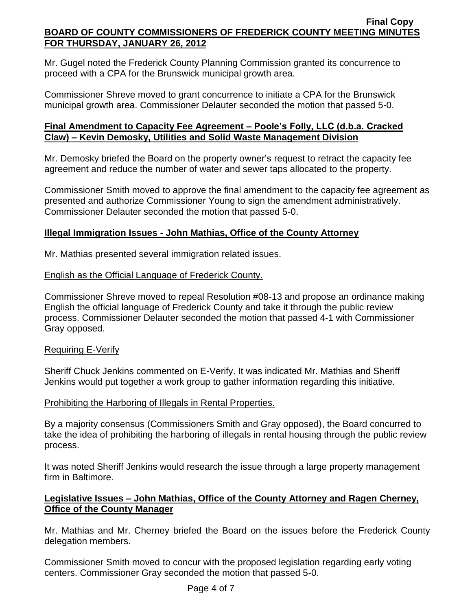Mr. Gugel noted the Frederick County Planning Commission granted its concurrence to proceed with a CPA for the Brunswick municipal growth area.

Commissioner Shreve moved to grant concurrence to initiate a CPA for the Brunswick municipal growth area. Commissioner Delauter seconded the motion that passed 5-0.

# **Final Amendment to Capacity Fee Agreement – Poole's Folly, LLC (d.b.a. Cracked Claw) – Kevin Demosky, Utilities and Solid Waste Management Division**

Mr. Demosky briefed the Board on the property owner's request to retract the capacity fee agreement and reduce the number of water and sewer taps allocated to the property.

Commissioner Smith moved to approve the final amendment to the capacity fee agreement as presented and authorize Commissioner Young to sign the amendment administratively. Commissioner Delauter seconded the motion that passed 5-0.

## **Illegal Immigration Issues - John Mathias, Office of the County Attorney**

Mr. Mathias presented several immigration related issues.

# English as the Official Language of Frederick County.

Commissioner Shreve moved to repeal Resolution #08-13 and propose an ordinance making English the official language of Frederick County and take it through the public review process. Commissioner Delauter seconded the motion that passed 4-1 with Commissioner Gray opposed.

## Requiring E-Verify

Sheriff Chuck Jenkins commented on E-Verify. It was indicated Mr. Mathias and Sheriff Jenkins would put together a work group to gather information regarding this initiative.

# Prohibiting the Harboring of Illegals in Rental Properties.

By a majority consensus (Commissioners Smith and Gray opposed), the Board concurred to take the idea of prohibiting the harboring of illegals in rental housing through the public review process.

It was noted Sheriff Jenkins would research the issue through a large property management firm in Baltimore.

# **Legislative Issues – John Mathias, Office of the County Attorney and Ragen Cherney, Office of the County Manager**

Mr. Mathias and Mr. Cherney briefed the Board on the issues before the Frederick County delegation members.

Commissioner Smith moved to concur with the proposed legislation regarding early voting centers. Commissioner Gray seconded the motion that passed 5-0.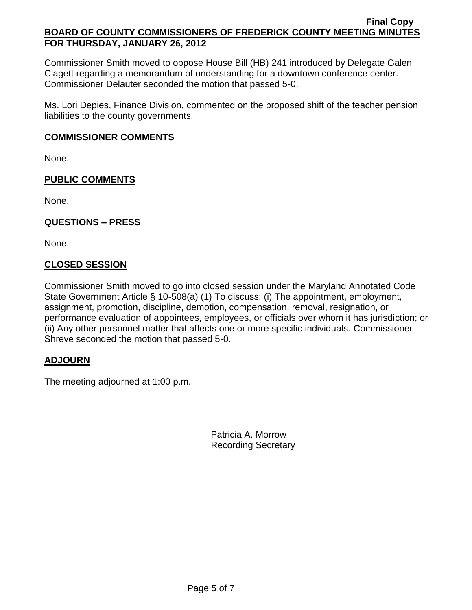Commissioner Smith moved to oppose House Bill (HB) 241 introduced by Delegate Galen Clagett regarding a memorandum of understanding for a downtown conference center. Commissioner Delauter seconded the motion that passed 5-0.

Ms. Lori Depies, Finance Division, commented on the proposed shift of the teacher pension liabilities to the county governments.

### **COMMISSIONER COMMENTS**

None.

## **PUBLIC COMMENTS**

None.

## **QUESTIONS – PRESS**

None.

## **CLOSED SESSION**

Commissioner Smith moved to go into closed session under the Maryland Annotated Code State Government Article § 10-508(a) (1) To discuss: (i) The appointment, employment, assignment, promotion, discipline, demotion, compensation, removal, resignation, or performance evaluation of appointees, employees, or officials over whom it has jurisdiction; or (ii) Any other personnel matter that affects one or more specific individuals. Commissioner Shreve seconded the motion that passed 5-0.

## **ADJOURN**

The meeting adjourned at 1:00 p.m.

Patricia A. Morrow Recording Secretary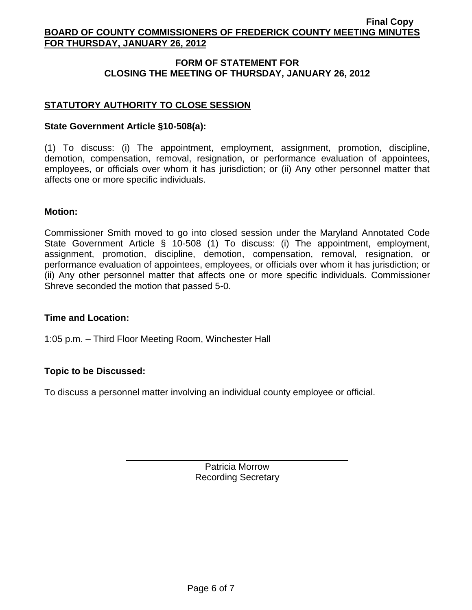# **FORM OF STATEMENT FOR CLOSING THE MEETING OF THURSDAY, JANUARY 26, 2012**

# **STATUTORY AUTHORITY TO CLOSE SESSION**

## **State Government Article §10-508(a):**

(1) To discuss: (i) The appointment, employment, assignment, promotion, discipline, demotion, compensation, removal, resignation, or performance evaluation of appointees, employees, or officials over whom it has jurisdiction; or (ii) Any other personnel matter that affects one or more specific individuals.

### **Motion:**

Commissioner Smith moved to go into closed session under the Maryland Annotated Code State Government Article § 10-508 (1) To discuss: (i) The appointment, employment, assignment, promotion, discipline, demotion, compensation, removal, resignation, or performance evaluation of appointees, employees, or officials over whom it has jurisdiction; or (ii) Any other personnel matter that affects one or more specific individuals. Commissioner Shreve seconded the motion that passed 5-0.

### **Time and Location:**

1:05 p.m. – Third Floor Meeting Room, Winchester Hall

## **Topic to be Discussed:**

To discuss a personnel matter involving an individual county employee or official.

Patricia Morrow Recording Secretary